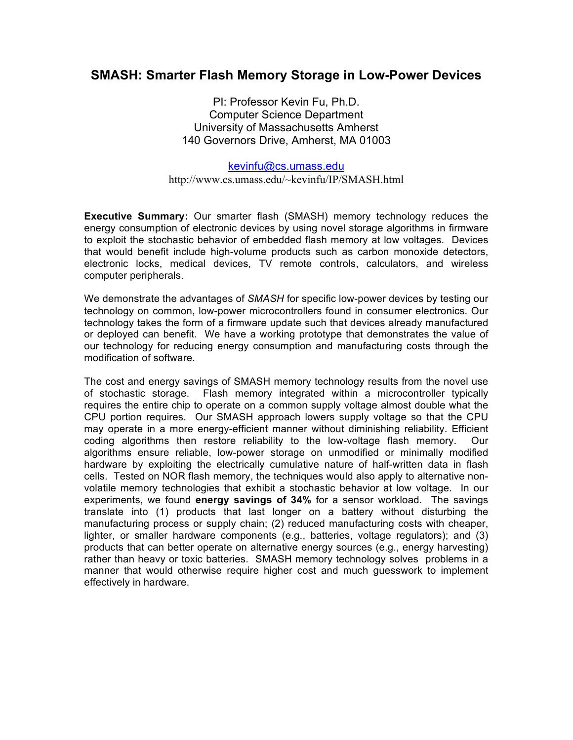# **SMASH: Smarter Flash Memory Storage in Low-Power Devices**

PI: Professor Kevin Fu, Ph.D. Computer Science Department University of Massachusetts Amherst 140 Governors Drive, Amherst, MA 01003

kevinfu@cs.umass.edu http://www.cs.umass.edu/~kevinfu/IP/SMASH.html

**Executive Summary:** Our smarter flash (SMASH) memory technology reduces the energy consumption of electronic devices by using novel storage algorithms in firmware to exploit the stochastic behavior of embedded flash memory at low voltages. Devices that would benefit include high-volume products such as carbon monoxide detectors, electronic locks, medical devices, TV remote controls, calculators, and wireless computer peripherals.

We demonstrate the advantages of *SMASH* for specific low-power devices by testing our technology on common, low-power microcontrollers found in consumer electronics. Our technology takes the form of a firmware update such that devices already manufactured or deployed can benefit. We have a working prototype that demonstrates the value of our technology for reducing energy consumption and manufacturing costs through the modification of software.

The cost and energy savings of SMASH memory technology results from the novel use of stochastic storage. Flash memory integrated within a microcontroller typically requires the entire chip to operate on a common supply voltage almost double what the CPU portion requires. Our SMASH approach lowers supply voltage so that the CPU may operate in a more energy-efficient manner without diminishing reliability. Efficient coding algorithms then restore reliability to the low-voltage flash memory. Our algorithms ensure reliable, low-power storage on unmodified or minimally modified hardware by exploiting the electrically cumulative nature of half-written data in flash cells. Tested on NOR flash memory, the techniques would also apply to alternative nonvolatile memory technologies that exhibit a stochastic behavior at low voltage. In our experiments, we found **energy savings of 34%** for a sensor workload. The savings translate into (1) products that last longer on a battery without disturbing the manufacturing process or supply chain; (2) reduced manufacturing costs with cheaper, lighter, or smaller hardware components (e.g., batteries, voltage regulators); and (3) products that can better operate on alternative energy sources (e.g., energy harvesting) rather than heavy or toxic batteries. SMASH memory technology solves problems in a manner that would otherwise require higher cost and much guesswork to implement effectively in hardware.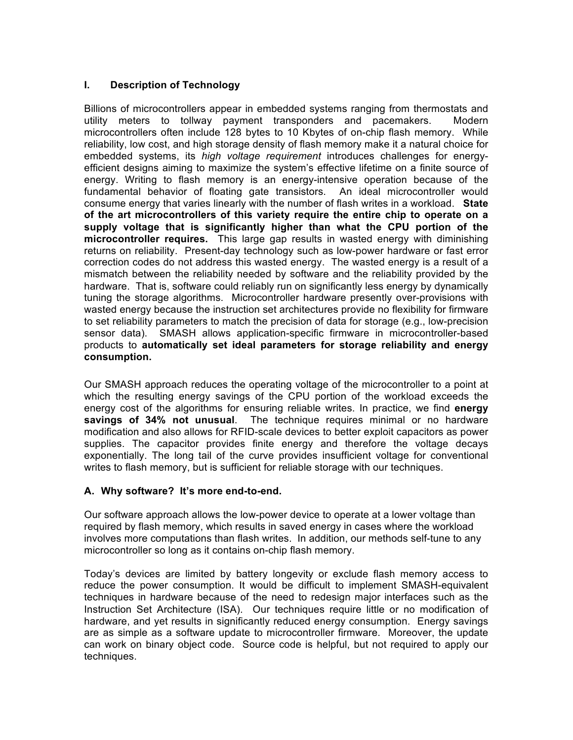### **I. Description of Technology**

Billions of microcontrollers appear in embedded systems ranging from thermostats and utility meters to tollway payment transponders and pacemakers. Modern microcontrollers often include 128 bytes to 10 Kbytes of on-chip flash memory. While reliability, low cost, and high storage density of flash memory make it a natural choice for embedded systems, its *high voltage requirement* introduces challenges for energyefficient designs aiming to maximize the system's effective lifetime on a finite source of energy. Writing to flash memory is an energy-intensive operation because of the fundamental behavior of floating gate transistors. An ideal microcontroller would consume energy that varies linearly with the number of flash writes in a workload. **State of the art microcontrollers of this variety require the entire chip to operate on a supply voltage that is significantly higher than what the CPU portion of the microcontroller requires.** This large gap results in wasted energy with diminishing returns on reliability. Present-day technology such as low-power hardware or fast error correction codes do not address this wasted energy. The wasted energy is a result of a mismatch between the reliability needed by software and the reliability provided by the hardware. That is, software could reliably run on significantly less energy by dynamically tuning the storage algorithms. Microcontroller hardware presently over-provisions with wasted energy because the instruction set architectures provide no flexibility for firmware to set reliability parameters to match the precision of data for storage (e.g., low-precision sensor data). SMASH allows application-specific firmware in microcontroller-based products to **automatically set ideal parameters for storage reliability and energy consumption.**

Our SMASH approach reduces the operating voltage of the microcontroller to a point at which the resulting energy savings of the CPU portion of the workload exceeds the energy cost of the algorithms for ensuring reliable writes. In practice, we find **energy savings of 34% not unusual**. The technique requires minimal or no hardware modification and also allows for RFID-scale devices to better exploit capacitors as power supplies. The capacitor provides finite energy and therefore the voltage decays exponentially. The long tail of the curve provides insufficient voltage for conventional writes to flash memory, but is sufficient for reliable storage with our techniques.

### **A. Why software? It's more end-to-end.**

Our software approach allows the low-power device to operate at a lower voltage than required by flash memory, which results in saved energy in cases where the workload involves more computations than flash writes. In addition, our methods self-tune to any microcontroller so long as it contains on-chip flash memory.

Today's devices are limited by battery longevity or exclude flash memory access to reduce the power consumption. It would be difficult to implement SMASH-equivalent techniques in hardware because of the need to redesign major interfaces such as the Instruction Set Architecture (ISA). Our techniques require little or no modification of hardware, and yet results in significantly reduced energy consumption. Energy savings are as simple as a software update to microcontroller firmware. Moreover, the update can work on binary object code. Source code is helpful, but not required to apply our techniques.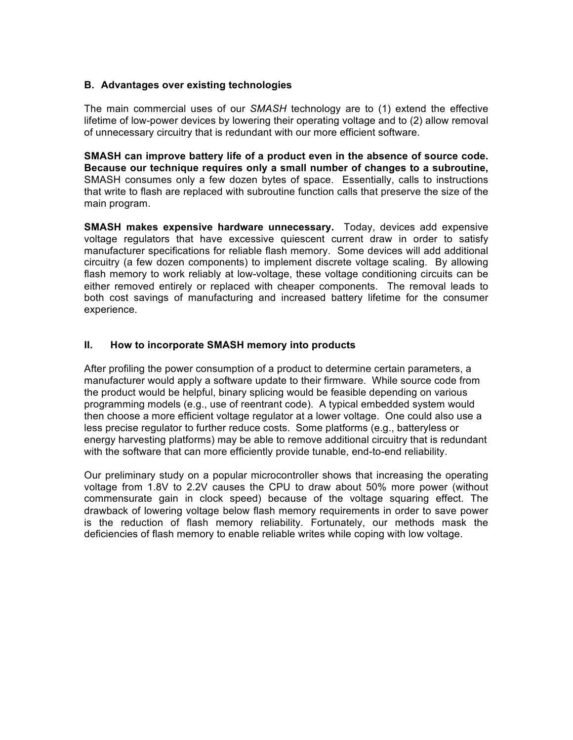#### **B. Advantages over existing technologies**

The main commercial uses of our *SMASH* technology are to (1) extend the effective lifetime of low-power devices by lowering their operating voltage and to (2) allow removal of unnecessary circuitry that is redundant with our more efficient software.

**SMASH can improve battery life of a product even in the absence of source code. Because our technique requires only a small number of changes to a subroutine,**  SMASH consumes only a few dozen bytes of space. Essentially, calls to instructions that write to flash are replaced with subroutine function calls that preserve the size of the main program.

**SMASH makes expensive hardware unnecessary.** Today, devices add expensive voltage regulators that have excessive quiescent current draw in order to satisfy manufacturer specifications for reliable flash memory. Some devices will add additional circuitry (a few dozen components) to implement discrete voltage scaling. By allowing flash memory to work reliably at low-voltage, these voltage conditioning circuits can be either removed entirely or replaced with cheaper components. The removal leads to both cost savings of manufacturing and increased battery lifetime for the consumer experience.

#### **II. How to incorporate SMASH memory into products**

After profiling the power consumption of a product to determine certain parameters, a manufacturer would apply a software update to their firmware. While source code from the product would be helpful, binary splicing would be feasible depending on various programming models (e.g., use of reentrant code). A typical embedded system would then choose a more efficient voltage regulator at a lower voltage. One could also use a less precise regulator to further reduce costs. Some platforms (e.g., batteryless or energy harvesting platforms) may be able to remove additional circuitry that is redundant with the software that can more efficiently provide tunable, end-to-end reliability.

Our preliminary study on a popular microcontroller shows that increasing the operating voltage from 1.8V to 2.2V causes the CPU to draw about 50% more power (without commensurate gain in clock speed) because of the voltage squaring effect. The drawback of lowering voltage below flash memory requirements in order to save power is the reduction of flash memory reliability. Fortunately, our methods mask the deficiencies of flash memory to enable reliable writes while coping with low voltage.